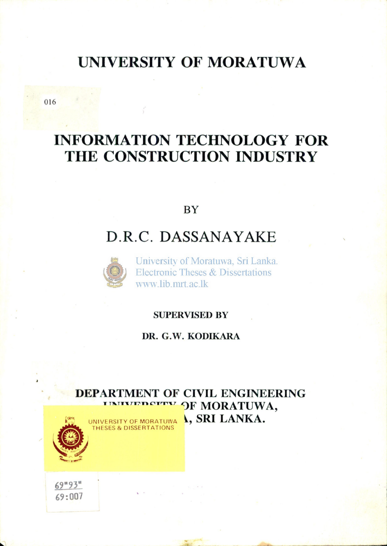# **UNIVERSITY OF MORATUW A**

**INFORMATION TECHNOLOGY FOR THE CONSTRUCTION INDUSTRY** 

**BY** 

# **D.R.C. DASSANAYAKE**



University of Moratuwa, Sri Lanka. Electronic Theses & Dissertations www.lib.mrt.ac.lk

#### **SUPERVISED BY**

#### **DR. G.W . KODIKAR A**

**DEPARTMENT OF CIVIL ENGINEERING OF MORATUWA,**  UNIVERSITY OF MORATUWA **SRI LANKA.** THESES & DISSERTATIONS

*6? <sup>m</sup>9V*  **69:007** 

016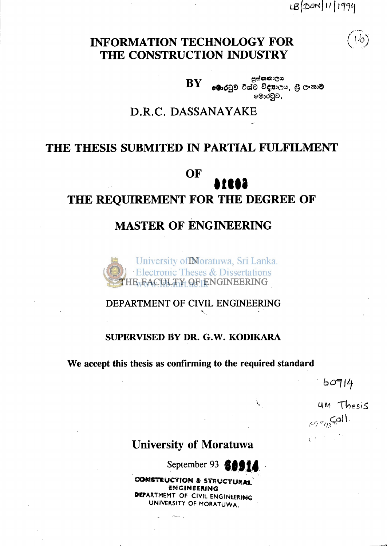LB (DON 11/1994

## **INFORMATION TECHNOLOGY FOR THE CONSTRUCTION INDUSTRY**

පුග්නකාලය **BY** eමාරටුව විශ්ව විදහාලය. හුි ලංකාව මොරටුව,

## **D.R.C. DASSANAYAKE**

## **THE THESIS SUBMITED IN PARTIAL FULFILMENT**

## **OF**

## THE REQUIREMENT FOR THE DEGREE OF

## **MASTER OF ENGINEERING MASTER OF ENGINEERING**



#### **DEPARTMENT OF CIVIL ENGINEERING**

#### **SUPERVISED BY DR. G.W. KODIKARA**

**W e accept this thesis as confirming to the required standard** 

 $60914$ 

um Thesis  $67$ "gs Coll.  $C^{(k)}$  ,  $C^{(k)}$ 

## **University of Moratuwa**

September 93 **& 09** 

 $\mathbf{k}_{ij}$ 

**COMSTRUCTION & STRUCTURAL** ENGINEERING MPARTMEMT OF CIVIL ENGINEERING UNIVERSITY OF MORATUWA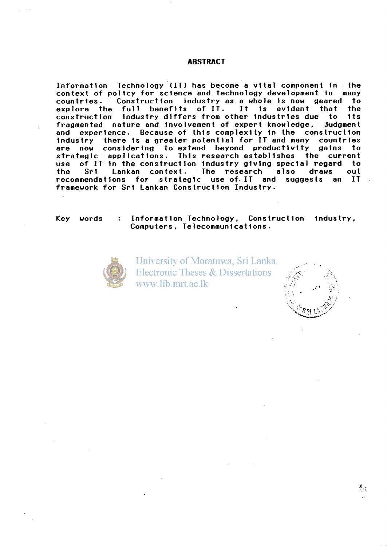#### **ABSTRACT**

Information Technology (IT) has become a vital component in the context of policy for science and technology development in many countries. Construction industry as a whole is now geared to<br>explore the full benefits of IT. It is evident that the explore the full benefits of IT. It is evident that the<br>construction industry\_differs\_from\_other\_industries\_due\_to\_its construction industry differs from other industries due to its<br>fragmented nature and involvement of expert knowledge, judgment fragmented nature and involvement of expert knowledge, and experience. Because of this complexity in the construction industry there is a greater potential for IT and many countries<br>are now considering to extend beyond productivity gains to are now considering to extend beyond productivity gains strategic applications. This research establishes the current use of IT in the construction industry giving special regard to<br>the Sri Lankan context. The research also draws out the Sri Lankan context. The research also draws out<br>recommendations for strategic use-of-IT and suggests an IT strategic use of IT and suggests an framework for Sri Lankan Construction Industry.

Key words : Information Technology, Construction industry, Computers , Telecommunications .



University of Moratuwa, Sri Lanka. **Electronic Theses & Dissertations** www.lib.mrt.ac.lk

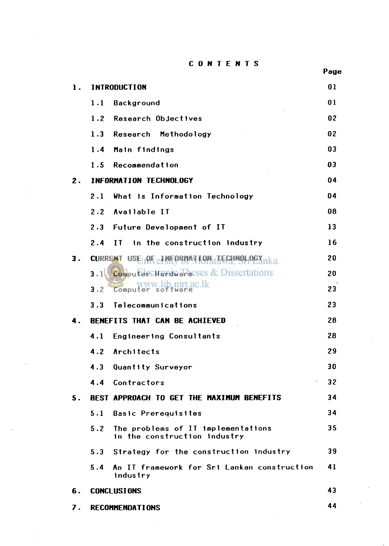CONTENTS

|    |                |                                                                    | . a. |  |
|----|----------------|--------------------------------------------------------------------|------|--|
| 1. |                | <b>INTRODUCTION</b>                                                | 01   |  |
|    | 1.1            | Background                                                         | 01   |  |
|    | 1.2            | Research Objectives                                                | 02   |  |
|    | 1.3            | Research Methodology                                               | 02   |  |
|    | 1.4            | Main findings                                                      | 03   |  |
|    | 1.5            | <b>Recommendation</b>                                              | 03   |  |
| 2. |                | INFORMATION TECHNOLOGY                                             | 04   |  |
|    | 2.1            | What is Information Technology                                     | 04   |  |
|    | 2.2            | Available IT                                                       | 08   |  |
|    | 2.3            | Future Development of IT                                           | 13   |  |
|    | 2.4            | in the construction industry<br>$\mathbf{I}$                       | 16   |  |
| 3. | <b>CURRENT</b> | USE <sub>L</sub><br><b>OF ENFORMAL</b>                             | 20   |  |
|    |                | $3.1$ Computer CHard are Sess & Dissertations                      | 20   |  |
|    | 3.2            | b.mrt.ac.lk<br>Computer                                            | 23   |  |
|    | 3.3            | Telecommunications                                                 | 23   |  |
| 4. |                | BENEFITS THAT CAN BE ACHIEVED                                      | 28   |  |
|    | 4.1            | <b>Engineering Consultants</b>                                     | 28   |  |
|    | 4.2            | Architects                                                         | 29   |  |
|    | 4.3            | Quantity Surveyor                                                  | 30   |  |
|    | 4.4            | Contractors<br>×.                                                  | 32   |  |
| 5. |                | BEST APPROACH TO GET THE MAXIMUM BENEFITS                          | 34   |  |
|    | 5.1            | <b>Basic Prerequisites</b>                                         | 34   |  |
|    | 5.2            | The problems of IT implementations<br>in the construction industry | 35   |  |
|    |                | 5.3 Strategy for the construction industry                         | 39   |  |
|    | 5.4            | An IT framework for Sri Lankan construction<br>industry            | 41   |  |
| 6. |                | 43<br><b>CONCLUSIONS</b>                                           |      |  |
| 7. |                | <b>RECOMMENDATIONS</b>                                             | 44   |  |

 $\sim 1$ 

#### Page